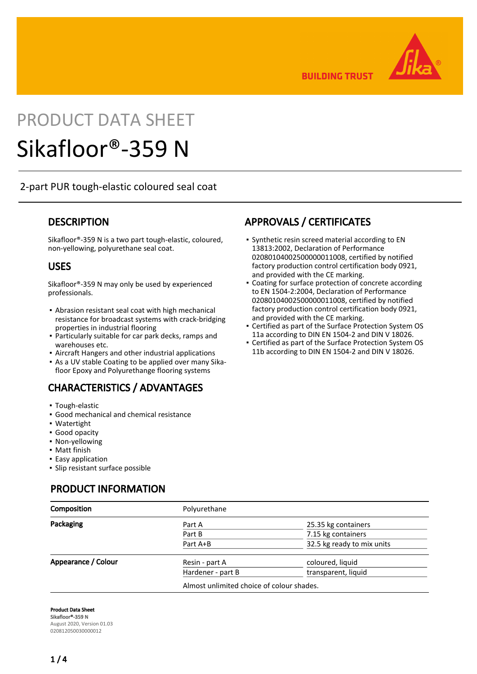

**BUILDING TRUST** 

# PRODUCT DATA SHEET

# Sikafloor®-359 N

2-part PUR tough-elastic coloured seal coat

## **DESCRIPTION**

Sikafloor®-359 N is a two part tough-elastic, coloured, non-yellowing, polyurethane seal coat.

## USES

Sikafloor®-359 N may only be used by experienced professionals.

- Abrasion resistant seal coat with high mechanical resistance for broadcast systems with crack-bridging properties in industrial flooring
- Particularly suitable for car park decks, ramps and warehouses etc.
- **Aircraft Hangers and other industrial applications**
- As a UV stable Coating to be applied over many Sika-▪ floor Epoxy and Polyurethange flooring systems

# CHARACTERISTICS / ADVANTAGES

- Tough-elastic
- Good mechanical and chemical resistance
- Watertight
- Good opacity
- Non-yellowing
- Matt finish
- **Easy application**
- Slip resistant surface possible

# PRODUCT INFORMATION

# APPROVALS / CERTIFICATES

- **•** Synthetic resin screed material according to EN 13813:2002, Declaration of Performance 02080104002500000011008, certified by notified factory production control certification body 0921, and provided with the CE marking.
- Coating for surface protection of concrete according to EN 1504-2:2004, Declaration of Performance 02080104002500000011008, certified by notified factory production control certification body 0921, and provided with the CE marking.
- Certified as part of the Surface Protection System OS 11a according to DIN EN 1504-2 and DIN V 18026. ▪
- Certified as part of the Surface Protection System OS 11b according to DIN EN 1504-2 and DIN V 18026.

| Composition         | Polyurethane                              |                            |  |
|---------------------|-------------------------------------------|----------------------------|--|
| Packaging           | Part A                                    | 25.35 kg containers        |  |
|                     | Part B                                    | 7.15 kg containers         |  |
|                     | Part A+B                                  | 32.5 kg ready to mix units |  |
| Appearance / Colour | Resin - part A                            | coloured, liquid           |  |
|                     | Hardener - part B                         | transparent, liquid        |  |
|                     | Almost unlimited choice of colour shades. |                            |  |

Product Data Sheet Sikafloor®-359 N August 2020, Version 01.03 020812050030000012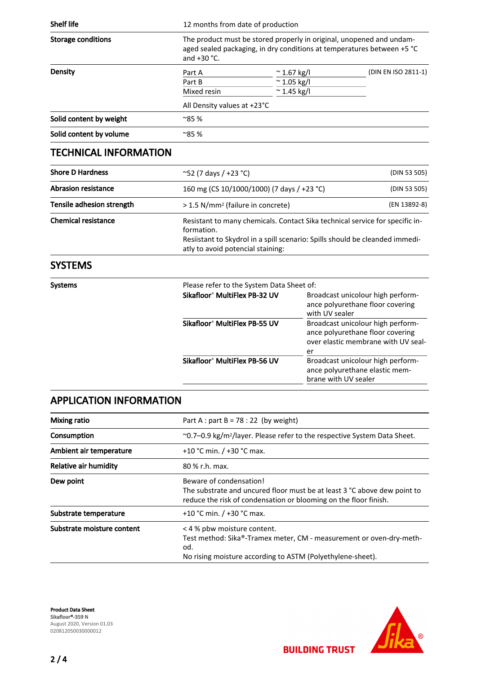| <b>Shelf life</b>                           | 12 months from date of production                                                                                                                               |                                                                   |                     |
|---------------------------------------------|-----------------------------------------------------------------------------------------------------------------------------------------------------------------|-------------------------------------------------------------------|---------------------|
| <b>Storage conditions</b><br><b>Density</b> | The product must be stored properly in original, unopened and undam-<br>aged sealed packaging, in dry conditions at temperatures between +5 °C<br>and $+30$ °C. |                                                                   |                     |
|                                             | Part A<br>Part B<br>Mixed resin                                                                                                                                 | $\approx$ 1.67 kg/l<br>$^{\sim}$ 1.05 kg/l<br>$^{\sim}$ 1.45 kg/l | (DIN EN ISO 2811-1) |
|                                             | All Density values at +23°C                                                                                                                                     |                                                                   |                     |
| Solid content by weight                     | $^{\sim}85%$                                                                                                                                                    |                                                                   |                     |
| Solid content by volume                     | $^{\sim}85%$                                                                                                                                                    |                                                                   |                     |

# TECHNICAL INFORMATION

| <b>Shore D Hardness</b>    | $\sim$ 52 (7 days / +23 °C)                                                                                                                                                                                     | (DIN 53 505) |  |
|----------------------------|-----------------------------------------------------------------------------------------------------------------------------------------------------------------------------------------------------------------|--------------|--|
| <b>Abrasion resistance</b> | 160 mg (CS 10/1000/1000) (7 days / +23 °C)                                                                                                                                                                      | (DIN 53 505) |  |
| Tensile adhesion strength  | > 1.5 N/mm <sup>2</sup> (failure in concrete)                                                                                                                                                                   | (EN 13892-8) |  |
| <b>Chemical resistance</b> | Resistant to many chemicals. Contact Sika technical service for specific in-<br>formation.<br>Resiistant to Skydrol in a spill scenario: Spills should be cleanded immedi-<br>atly to avoid potencial staining: |              |  |

# SYSTEMS

| Systems |                                           | Please refer to the System Data Sheet of:                                                                          |  |  |
|---------|-------------------------------------------|--------------------------------------------------------------------------------------------------------------------|--|--|
|         | Sikafloor® MultiFlex PB-32 UV             | Broadcast unicolour high perform-<br>ance polyurethane floor covering<br>with UV sealer                            |  |  |
|         | Sikafloor <sup>®</sup> MultiFlex PB-55 UV | Broadcast unicolour high perform-<br>ance polyurethane floor covering<br>over elastic membrane with UV seal-<br>er |  |  |
|         | Sikafloor <sup>®</sup> MultiFlex PB-56 UV | Broadcast unicolour high perform-<br>ance polyurethane elastic mem-<br>brane with UV sealer                        |  |  |

# APPLICATION INFORMATION

| <b>Mixing ratio</b>        | Part A : part B = $78:22$ (by weight)                                                                                                                                   |  |  |
|----------------------------|-------------------------------------------------------------------------------------------------------------------------------------------------------------------------|--|--|
| Consumption                | $\sim$ 0.7–0.9 kg/m <sup>2</sup> /layer. Please refer to the respective System Data Sheet.                                                                              |  |  |
| Ambient air temperature    | +10 °C min. $/$ +30 °C max.                                                                                                                                             |  |  |
| Relative air humidity      | 80 % r.h. max.                                                                                                                                                          |  |  |
| Dew point                  | Beware of condensation!<br>The substrate and uncured floor must be at least 3 °C above dew point to<br>reduce the risk of condensation or blooming on the floor finish. |  |  |
| Substrate temperature      | +10 °C min. $/$ +30 °C max.                                                                                                                                             |  |  |
| Substrate moisture content | < 4 % pbw moisture content.<br>Test method: Sika®-Tramex meter, CM - measurement or oven-dry-meth-<br>od.<br>No rising moisture according to ASTM (Polyethylene-sheet). |  |  |

Product Data Sheet Sikafloor®-359 N August 2020, Version 01.03 020812050030000012



**BUILDING TRUST**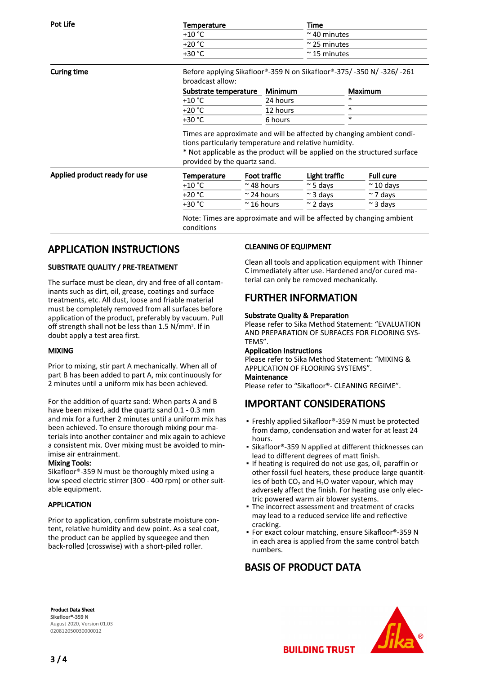| Pot Life | Temperature | Time                 |  |
|----------|-------------|----------------------|--|
|          | $+10$ °C    | $\approx$ 40 minutes |  |
|          | $+20 °C$    | $\approx$ 25 minutes |  |
|          | $+30 °C$    | $\approx$ 15 minutes |  |

Curing time Before applying Sikafloor®-359 N on Sikafloor®-375/ -350 N/ -326/ -261 broadcast allow:

| Substrate temperature Minimum |          | <b>Maximum</b> |
|-------------------------------|----------|----------------|
| $+10 °C$                      | 24 hours | *              |
| $+20 °C$                      | 12 hours |                |
| $+30 °C$                      | 6 hours  | *              |

Times are approximate and will be affected by changing ambient conditions particularly temperature and relative humidity.

\* Not applicable as the product will be applied on the structured surface provided by the quartz sand.

| Applied product ready for use | Temperature | <b>Foot traffic</b> | Light traffic                                                        | <b>Full cure</b>  |
|-------------------------------|-------------|---------------------|----------------------------------------------------------------------|-------------------|
|                               | $+10 °C$    | $\approx$ 48 hours  | $\approx$ 5 davs                                                     | $\approx$ 10 davs |
|                               | $+20 °C$    | $\approx$ 24 hours  | $\approx$ 3 davs                                                     | $\approx$ 7 days  |
|                               | $+30 °C$    | $\approx$ 16 hours  | $\sim$ 2 davs                                                        | $\approx$ 3 davs  |
|                               |             |                     | Note: Times are approximate and will be affected by changing ambient |                   |

conditions

# APPLICATION INSTRUCTIONS

### SUBSTRATE QUALITY / PRE-TREATMENT

The surface must be clean, dry and free of all contaminants such as dirt, oil, grease, coatings and surface treatments, etc. All dust, loose and friable material must be completely removed from all surfaces before application of the product, preferably by vacuum. Pull off strength shall not be less than 1.5 N/mm2. If in doubt apply a test area first.

#### MIXING

Prior to mixing, stir part A mechanically. When all of part B has been added to part A, mix continuously for 2 minutes until a uniform mix has been achieved.

For the addition of quartz sand: When parts A and B have been mixed, add the quartz sand 0.1 - 0.3 mm and mix for a further 2 minutes until a uniform mix has been achieved. To ensure thorough mixing pour materials into another container and mix again to achieve a consistent mix. Over mixing must be avoided to minimise air entrainment.

#### Mixing Tools:

Sikafloor®-359 N must be thoroughly mixed using a low speed electric stirrer (300 - 400 rpm) or other suitable equipment.

#### APPLICATION

Prior to application, confirm substrate moisture content, relative humidity and dew point. As a seal coat, the product can be applied by squeegee and then back-rolled (crosswise) with a short-piled roller.

#### CLEANING OF EQUIPMENT

Clean all tools and application equipment with Thinner C immediately after use. Hardened and/or cured material can only be removed mechanically.

# FURTHER INFORMATION

#### Substrate Quality & Preparation

Please refer to Sika Method Statement: "EVALUATION AND PREPARATION OF SURFACES FOR FLOORING SYS-TEMS".

#### Application Instructions

Please refer to Sika Method Statement: "MIXING & APPLICATION OF FLOORING SYSTEMS".

#### Maintenance

Please refer to "Sikafloor®- CLEANING REGIME".

# IMPORTANT CONSIDERATIONS

- Freshly applied Sikafloor®-359 N must be protected from damp, condensation and water for at least 24 hours.
- Sikafloor®-359 N applied at different thicknesses can lead to different degrees of matt finish.
- **.** If heating is required do not use gas, oil, paraffin or other fossil fuel heaters, these produce large quantities of both  $CO_2$  and  $H_2O$  water vapour, which may adversely affect the finish. For heating use only electric powered warm air blower systems.
- The incorrect assessment and treatment of cracks may lead to a reduced service life and reflective cracking.
- For exact colour matching, ensure Sikafloor®-359 N in each area is applied from the same control batch numbers.

# BASIS OF PRODUCT DATA

**BUILDING TRUST** 

Product Data Sheet Sikafloor®-359 N August 2020, Version 01.03



020812050030000012